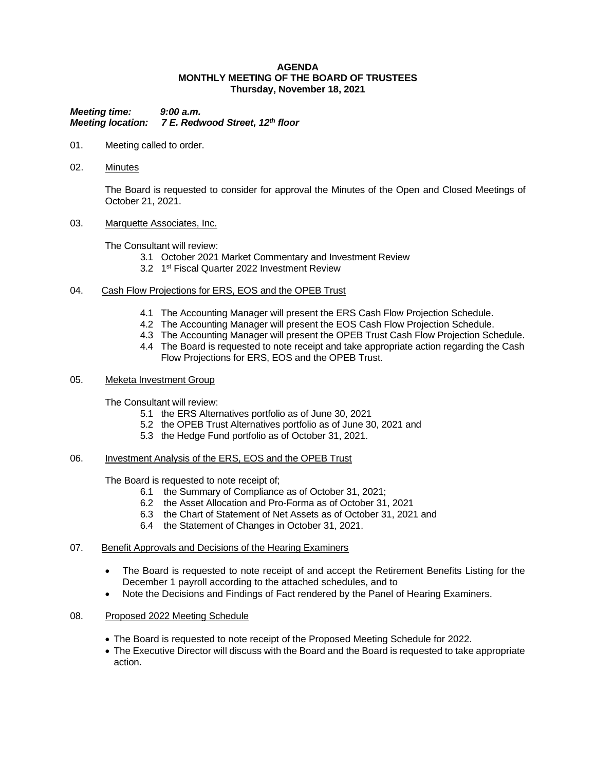## **AGENDA MONTHLY MEETING OF THE BOARD OF TRUSTEES Thursday, November 18, 2021**

*Meeting time: 9:00 a.m. Meeting location: 7 E. Redwood Street, 12th floor*

- 01. Meeting called to order.
- 02. Minutes

The Board is requested to consider for approval the Minutes of the Open and Closed Meetings of October 21, 2021.

## 03. Marquette Associates, Inc.

The Consultant will review:

- 3.1 October 2021 Market Commentary and Investment Review
- 3.2 1<sup>st</sup> Fiscal Quarter 2022 Investment Review

## 04. Cash Flow Projections for ERS, EOS and the OPEB Trust

- 4.1 The Accounting Manager will present the ERS Cash Flow Projection Schedule.
- 4.2 The Accounting Manager will present the EOS Cash Flow Projection Schedule.
- 4.3 The Accounting Manager will present the OPEB Trust Cash Flow Projection Schedule.
- 4.4 The Board is requested to note receipt and take appropriate action regarding the Cash Flow Projections for ERS, EOS and the OPEB Trust.

## 05. Meketa Investment Group

The Consultant will review:

- 5.1 the ERS Alternatives portfolio as of June 30, 2021
- 5.2 the OPEB Trust Alternatives portfolio as of June 30, 2021 and
- 5.3 the Hedge Fund portfolio as of October 31, 2021.

### 06. Investment Analysis of the ERS, EOS and the OPEB Trust

The Board is requested to note receipt of;

- 6.1 the Summary of Compliance as of October 31, 2021;
- 6.2 the Asset Allocation and Pro-Forma as of October 31, 2021
- 6.3 the Chart of Statement of Net Assets as of October 31, 2021 and
- 6.4 the Statement of Changes in October 31, 2021.

## 07. Benefit Approvals and Decisions of the Hearing Examiners

- The Board is requested to note receipt of and accept the Retirement Benefits Listing for the December 1 payroll according to the attached schedules, and to
- Note the Decisions and Findings of Fact rendered by the Panel of Hearing Examiners.

## 08. Proposed 2022 Meeting Schedule

- The Board is requested to note receipt of the Proposed Meeting Schedule for 2022.
- The Executive Director will discuss with the Board and the Board is requested to take appropriate action.